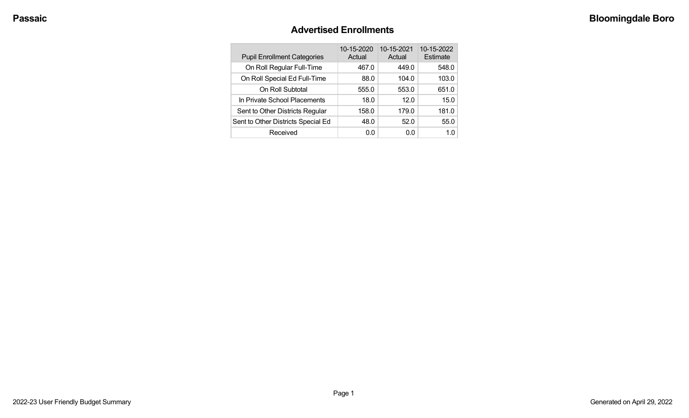### **Advertised Enrollments**

| <b>Pupil Enrollment Categories</b> | 10-15-2020<br>Actual | 10-15-2021<br>Actual | 10-15-2022<br>Estimate |
|------------------------------------|----------------------|----------------------|------------------------|
| On Roll Regular Full-Time          | 467.0                | 449.0                | 548.0                  |
| On Roll Special Ed Full-Time       | 88.0                 | 104.0                | 103.0                  |
| On Roll Subtotal                   | 555.0                | 553.0                | 651.0                  |
| In Private School Placements       | 18.0                 | 12.0                 | 15.0                   |
| Sent to Other Districts Regular    | 158.0                | 179.0                | 181.0                  |
| Sent to Other Districts Special Ed | 48.0                 | 52.0                 | 55.0                   |
| Received                           | 0.0                  | 0.0                  | 1.0                    |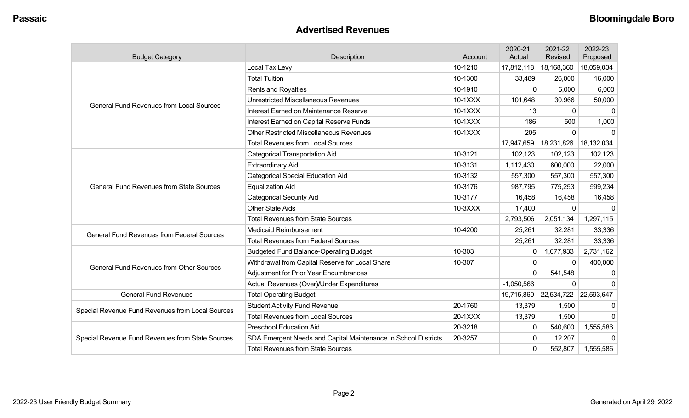### **Advertised Revenues**

| <b>Budget Category</b>                            | <b>Description</b>                                             | Account | 2020-21<br>Actual | 2021-22<br>Revised    | 2022-23<br>Proposed |
|---------------------------------------------------|----------------------------------------------------------------|---------|-------------------|-----------------------|---------------------|
|                                                   | Local Tax Levy                                                 | 10-1210 | 17,812,118        | 18,168,360            | 18,059,034          |
|                                                   | <b>Total Tuition</b>                                           | 10-1300 | 33,489            | 26,000                | 16,000              |
|                                                   | Rents and Royalties                                            | 10-1910 | 0                 | 6,000                 | 6,000               |
| <b>General Fund Revenues from Local Sources</b>   | <b>Unrestricted Miscellaneous Revenues</b>                     | 10-1XXX | 101,648           | 30,966                | 50,000              |
|                                                   | Interest Earned on Maintenance Reserve                         | 10-1XXX | 13                | 0                     | 0                   |
|                                                   | Interest Earned on Capital Reserve Funds                       | 10-1XXX | 186               | 500                   | 1,000               |
|                                                   | <b>Other Restricted Miscellaneous Revenues</b>                 | 10-1XXX | 205               | $\Omega$              | 0                   |
|                                                   | <b>Total Revenues from Local Sources</b>                       |         | 17,947,659        | 18,231,826            | 18,132,034          |
|                                                   | <b>Categorical Transportation Aid</b>                          | 10-3121 | 102,123           | 102,123               | 102,123             |
|                                                   | <b>Extraordinary Aid</b>                                       | 10-3131 | 1,112,430         | 600,000               | 22,000              |
|                                                   | <b>Categorical Special Education Aid</b>                       | 10-3132 | 557,300           | 557,300               | 557,300             |
| <b>General Fund Revenues from State Sources</b>   | <b>Equalization Aid</b>                                        | 10-3176 | 987,795           | 775,253               | 599,234             |
|                                                   | <b>Categorical Security Aid</b>                                | 10-3177 | 16,458            | 16,458                | 16,458              |
|                                                   | <b>Other State Aids</b>                                        | 10-3XXX | 17,400            | $\mathbf 0$           | 0                   |
|                                                   | <b>Total Revenues from State Sources</b>                       |         | 2,793,506         | 2,051,134             | 1,297,115           |
| <b>General Fund Revenues from Federal Sources</b> | <b>Medicaid Reimbursement</b>                                  | 10-4200 | 25,261            | 32,281                | 33,336              |
|                                                   | <b>Total Revenues from Federal Sources</b>                     |         | 25,261            | 32,281                | 33,336              |
|                                                   | <b>Budgeted Fund Balance-Operating Budget</b>                  | 10-303  | 0                 | 1,677,933             | 2,731,162           |
| <b>General Fund Revenues from Other Sources</b>   | Withdrawal from Capital Reserve for Local Share                | 10-307  | 0                 | $\Omega$              | 400,000             |
|                                                   | <b>Adjustment for Prior Year Encumbrances</b>                  |         | 0                 | 541,548               |                     |
|                                                   | Actual Revenues (Over)/Under Expenditures                      |         | $-1,050,566$      | 0                     | $\Omega$            |
| <b>General Fund Revenues</b>                      | <b>Total Operating Budget</b>                                  |         |                   | 19,715,860 22,534,722 | 22,593,647          |
| Special Revenue Fund Revenues from Local Sources  | <b>Student Activity Fund Revenue</b>                           | 20-1760 | 13,379            | 1,500                 |                     |
|                                                   | <b>Total Revenues from Local Sources</b>                       | 20-1XXX | 13,379            | 1,500                 | $\Omega$            |
|                                                   | <b>Preschool Education Aid</b>                                 | 20-3218 | $\mathbf{0}$      | 540,600               | 1,555,586           |
| Special Revenue Fund Revenues from State Sources  | SDA Emergent Needs and Capital Maintenance In School Districts | 20-3257 | 0                 | 12,207                | $\Omega$            |
|                                                   | <b>Total Revenues from State Sources</b>                       |         | 0                 | 552,807               | 1,555,586           |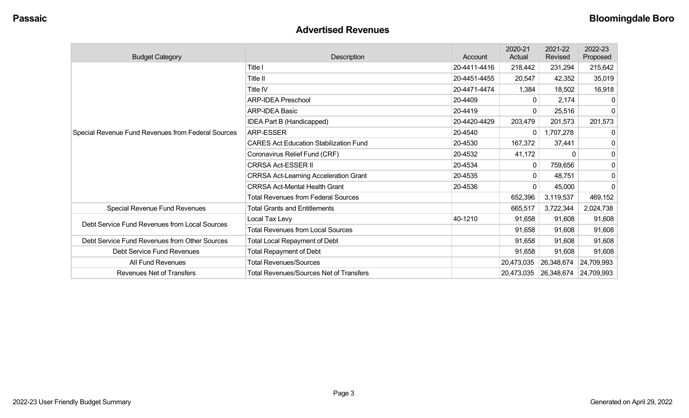### **Advertised Revenues**

| <b>Budget Category</b>                             | <b>Description</b>                             | Account      | 2020-21<br>Actual | 2021-22<br>Revised | 2022-23<br>Proposed |
|----------------------------------------------------|------------------------------------------------|--------------|-------------------|--------------------|---------------------|
|                                                    | Title I                                        | 20-4411-4416 | 218,442           | 231,294            | 215,642             |
|                                                    | Title II                                       | 20-4451-4455 | 20,547            | 42,352             | 35,019              |
|                                                    | <b>Title IV</b>                                | 20-4471-4474 | 1,384             | 18,502             | 16,918              |
|                                                    | <b>ARP-IDEA Preschool</b>                      | 20-4409      | $\mathbf{0}$      | 2,174              | $\Omega$            |
|                                                    | <b>ARP-IDEA Basic</b>                          | 20-4419      | 0                 | 25,516             | $\mathbf 0$         |
|                                                    | IDEA Part B (Handicapped)                      | 20-4420-4429 | 203,479           | 201,573            | 201,573             |
| Special Revenue Fund Revenues from Federal Sources | <b>ARP-ESSER</b>                               | 20-4540      | 0                 | 1,707,278          | 0                   |
|                                                    | <b>CARES Act Education Stabilization Fund</b>  | 20-4530      | 167,372           | 37,441             | 0                   |
|                                                    | Coronavirus Relief Fund (CRF)                  | 20-4532      | 41,172            | $\Omega$           | $\mathbf 0$         |
|                                                    | <b>CRRSA Act-ESSER II</b>                      | 20-4534      | 0                 | 759,656            | 0                   |
|                                                    | <b>CRRSA Act-Learning Acceleration Grant</b>   | 20-4535      | 0                 | 48,751             | 0                   |
|                                                    | <b>CRRSA Act-Mental Health Grant</b>           | 20-4536      | $\Omega$          | 45,000             | $\Omega$            |
|                                                    | <b>Total Revenues from Federal Sources</b>     |              | 652,396           | 3,119,537          | 469,152             |
| Special Revenue Fund Revenues                      | <b>Total Grants and Entitlements</b>           |              | 665,517           | 3,722,344          | 2,024,738           |
| Debt Service Fund Revenues from Local Sources      | Local Tax Levy                                 | 40-1210      | 91,658            | 91,608             | 91,608              |
|                                                    | <b>Total Revenues from Local Sources</b>       |              | 91,658            | 91,608             | 91,608              |
| Debt Service Fund Revenues from Other Sources      | <b>Total Local Repayment of Debt</b>           |              | 91,658            | 91,608             | 91,608              |
| Debt Service Fund Revenues                         | <b>Total Repayment of Debt</b>                 |              | 91,658            | 91,608             | 91,608              |
| All Fund Revenues                                  | <b>Total Revenues/Sources</b>                  |              | 20,473,035        | 26,348,674         | 24,709,993          |
| <b>Revenues Net of Transfers</b>                   | <b>Total Revenues/Sources Net of Transfers</b> |              | 20,473,035        | 26,348,674         | 24,709,993          |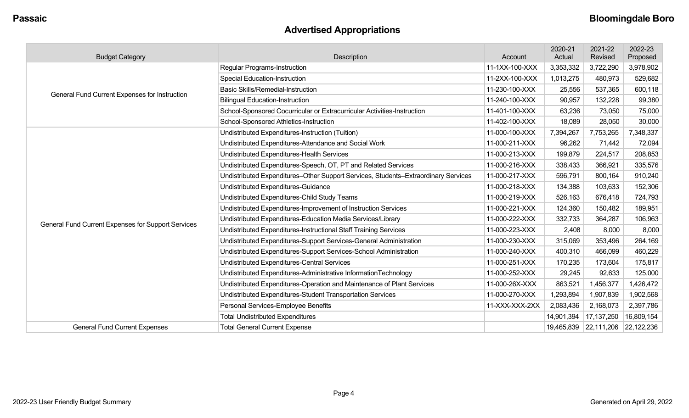## **Advertised Appropriations**

| <b>Budget Category</b>                             | Description                                                                        | Account        | 2020-21<br>Actual | 2021-22<br>Revised               | 2022-23<br>Proposed |
|----------------------------------------------------|------------------------------------------------------------------------------------|----------------|-------------------|----------------------------------|---------------------|
|                                                    | <b>Regular Programs-Instruction</b>                                                | 11-1XX-100-XXX | 3,353,332         | 3,722,290                        | 3,978,902           |
|                                                    | <b>Special Education-Instruction</b>                                               | 11-2XX-100-XXX | 1,013,275         | 480,973                          | 529,682             |
| General Fund Current Expenses for Instruction      | <b>Basic Skills/Remedial-Instruction</b>                                           | 11-230-100-XXX | 25,556            | 537,365                          | 600,118             |
|                                                    | <b>Bilingual Education-Instruction</b>                                             | 11-240-100-XXX | 90,957            | 132,228                          | 99,380              |
|                                                    | School-Sponsored Cocurricular or Extracurricular Activities-Instruction            | 11-401-100-XXX | 63,236            | 73,050                           | 75,000              |
|                                                    | School-Sponsored Athletics-Instruction                                             | 11-402-100-XXX | 18,089            | 28,050                           | 30,000              |
|                                                    | Undistributed Expenditures-Instruction (Tuition)                                   | 11-000-100-XXX | 7,394,267         | 7,753,265                        | 7,348,337           |
|                                                    | Undistributed Expenditures-Attendance and Social Work                              | 11-000-211-XXX | 96,262            | 71,442                           | 72,094              |
|                                                    | Undistributed Expenditures-Health Services                                         | 11-000-213-XXX | 199,879           | 224,517                          | 208,853             |
|                                                    | Undistributed Expenditures-Speech, OT, PT and Related Services                     | 11-000-216-XXX | 338,433           | 366,921                          | 335,576             |
|                                                    | Undistributed Expenditures-Other Support Services, Students-Extraordinary Services | 11-000-217-XXX | 596,791           | 800,164                          | 910,240             |
|                                                    | Undistributed Expenditures-Guidance                                                | 11-000-218-XXX | 134,388           | 103,633                          | 152,306             |
|                                                    | Undistributed Expenditures-Child Study Teams                                       | 11-000-219-XXX | 526,163           | 676,418                          | 724,793             |
|                                                    | Undistributed Expenditures-Improvement of Instruction Services                     | 11-000-221-XXX | 124,360           | 150,482                          | 189,951             |
| General Fund Current Expenses for Support Services | Undistributed Expenditures-Education Media Services/Library                        | 11-000-222-XXX | 332,733           | 364,287                          | 106,963             |
|                                                    | Undistributed Expenditures-Instructional Staff Training Services                   | 11-000-223-XXX | 2,408             | 8,000                            | 8,000               |
|                                                    | Undistributed Expenditures-Support Services-General Administration                 | 11-000-230-XXX | 315,069           | 353,496                          | 264,169             |
|                                                    | Undistributed Expenditures-Support Services-School Administration                  | 11-000-240-XXX | 400,310           | 466,099                          | 460,229             |
|                                                    | Undistributed Expenditures-Central Services                                        | 11-000-251-XXX | 170,235           | 173,604                          | 175,817             |
|                                                    | Undistributed Expenditures-Administrative InformationTechnology                    | 11-000-252-XXX | 29,245            | 92,633                           | 125,000             |
|                                                    | Undistributed Expenditures-Operation and Maintenance of Plant Services             | 11-000-26X-XXX | 863,521           | 1,456,377                        | 1,426,472           |
|                                                    | Undistributed Expenditures-Student Transportation Services                         | 11-000-270-XXX | 1,293,894         | 1,907,839                        | 1,902,568           |
|                                                    | Personal Services-Employee Benefits                                                | 11-XXX-XXX-2XX | 2,083,436         | 2,168,073                        | 2,397,786           |
|                                                    | <b>Total Undistributed Expenditures</b>                                            |                | 14,901,394        | 17,137,250                       | 16,809,154          |
| <b>General Fund Current Expenses</b>               | <b>Total General Current Expense</b>                                               |                |                   | 19,465,839 22,111,206 22,122,236 |                     |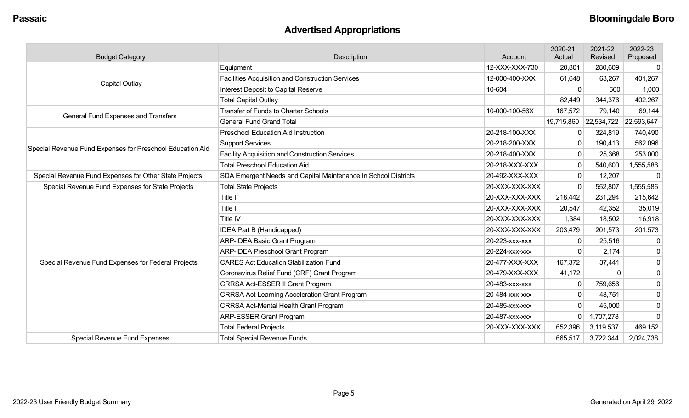## **Advertised Appropriations**

| <b>Budget Category</b>                                    | Description                                                    | Account        | 2020-21<br>Actual | 2021-22<br>Revised    | 2022-23<br>Proposed |
|-----------------------------------------------------------|----------------------------------------------------------------|----------------|-------------------|-----------------------|---------------------|
|                                                           | Equipment                                                      | 12-XXX-XXX-730 | 20,801            | 280,609               | 0                   |
|                                                           | <b>Facilities Acquisition and Construction Services</b>        | 12-000-400-XXX | 61,648            | 63,267                | 401,267             |
| Capital Outlay                                            | Interest Deposit to Capital Reserve                            | 10-604         | $\Omega$          | 500                   | 1,000               |
|                                                           | <b>Total Capital Outlay</b>                                    |                | 82,449            | 344,376               | 402,267             |
| General Fund Expenses and Transfers                       | <b>Transfer of Funds to Charter Schools</b>                    | 10-000-100-56X | 167,572           | 79,140                | 69,144              |
|                                                           | <b>General Fund Grand Total</b>                                |                |                   | 19,715,860 22,534,722 | 22,593,647          |
|                                                           | <b>Preschool Education Aid Instruction</b>                     | 20-218-100-XXX | 0                 | 324,819               | 740,490             |
| Special Revenue Fund Expenses for Preschool Education Aid | <b>Support Services</b>                                        | 20-218-200-XXX | $\Omega$          | 190,413               | 562,096             |
|                                                           | <b>Facility Acquisition and Construction Services</b>          | 20-218-400-XXX | $\mathbf{0}$      | 25,368                | 253,000             |
|                                                           | <b>Total Preschool Education Aid</b>                           | 20-218-XXX-XXX | $\Omega$          | 540,600               | 1,555,586           |
| Special Revenue Fund Expenses for Other State Projects    | SDA Emergent Needs and Capital Maintenance In School Districts | 20-492-XXX-XXX | $\mathbf{0}$      | 12,207                | 0                   |
| Special Revenue Fund Expenses for State Projects          | <b>Total State Projects</b>                                    | 20-XXX-XXX-XXX | $\Omega$          | 552,807               | 1,555,586           |
|                                                           | Title I                                                        | 20-XXX-XXX-XXX | 218,442           | 231,294               | 215,642             |
|                                                           | <b>Title II</b>                                                | 20-XXX-XXX-XXX | 20,547            | 42,352                | 35,019              |
|                                                           | Title IV                                                       | 20-XXX-XXX-XXX | 1,384             | 18,502                | 16,918              |
|                                                           | IDEA Part B (Handicapped)                                      | 20-XXX-XXX-XXX | 203,479           | 201,573               | 201,573             |
|                                                           | <b>ARP-IDEA Basic Grant Program</b>                            | 20-223-xxx-xxx | 0                 | 25,516                |                     |
|                                                           | <b>ARP-IDEA Preschool Grant Program</b>                        | 20-224-xxx-xxx |                   | 2,174                 | 0                   |
| Special Revenue Fund Expenses for Federal Projects        | <b>CARES Act Education Stabilization Fund</b>                  | 20-477-XXX-XXX | 167,372           | 37,441                | 0                   |
|                                                           | Coronavirus Relief Fund (CRF) Grant Program                    | 20-479-XXX-XXX | 41,172            | $\Omega$              | 0                   |
|                                                           | CRRSA Act-ESSER II Grant Program                               | 20-483-xxx-xxx |                   | 759,656               | 0                   |
|                                                           | <b>CRRSA Act-Learning Acceleration Grant Program</b>           | 20-484-XXX-XXX | $\mathbf{0}$      | 48,751                | 0                   |
|                                                           | <b>CRRSA Act-Mental Health Grant Program</b>                   | 20-485-xxx-xxx | $\Omega$          | 45,000                | 0                   |
|                                                           | <b>ARP-ESSER Grant Program</b>                                 | 20-487-xxx-xxx | 0                 | 1,707,278             | $\Omega$            |
|                                                           | <b>Total Federal Projects</b>                                  | 20-XXX-XXX-XXX | 652,396           | 3,119,537             | 469,152             |
| Special Revenue Fund Expenses                             | <b>Total Special Revenue Funds</b>                             |                | 665,517           | 3,722,344             | 2,024,738           |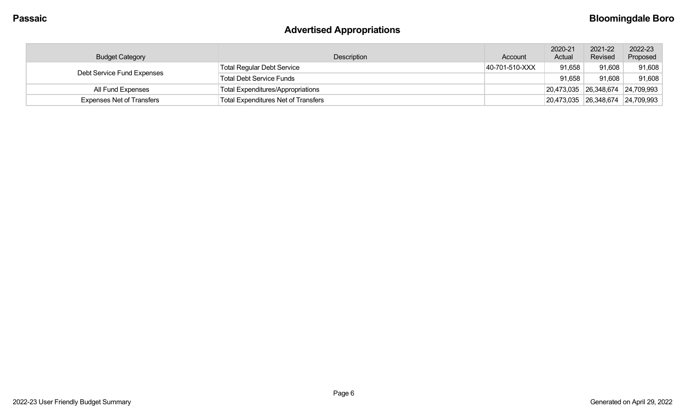## **Advertised Appropriations**

| <b>Budget Category</b>           | <b>Description</b>                         | Account        | 2020-21<br>Actual                                        | 2021-22<br>Revised | 2022-23<br>Proposed |
|----------------------------------|--------------------------------------------|----------------|----------------------------------------------------------|--------------------|---------------------|
| Debt Service Fund Expenses       | <b>Total Regular Debt Service</b>          | 40-701-510-XXX | 91,658                                                   | 91,608             | 91,608              |
|                                  | <b>Total Debt Service Funds</b>            |                | 91,658                                                   | 91,608             | 91,608              |
| All Fund Expenses                | <b>Total Expenditures/Appropriations</b>   |                | $\vert$ 20,473,035 $\vert$ 26,348,674 $\vert$ 24,709,993 |                    |                     |
| <b>Expenses Net of Transfers</b> | <b>Total Expenditures Net of Transfers</b> |                | $\vert$ 20,473,035 $\vert$ 26,348,674 $\vert$ 24,709,993 |                    |                     |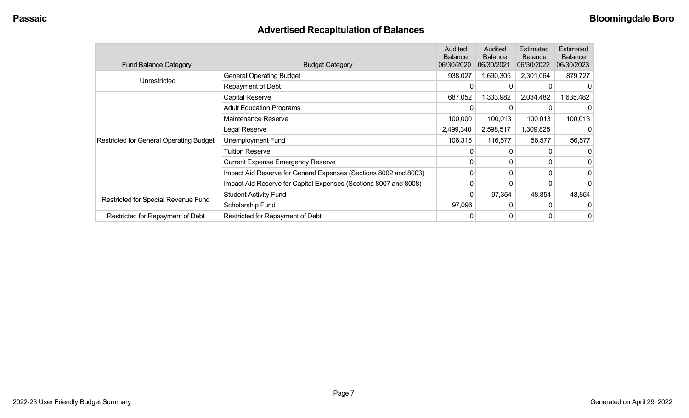## **Advertised Recapitulation of Balances**

| <b>Fund Balance Category</b>                   | <b>Budget Category</b>                                           | Audited<br><b>Balance</b><br>06/30/2020 | Audited<br><b>Balance</b><br>06/30/2021 | Estimated<br><b>Balance</b><br>06/30/2022 | Estimated<br><b>Balance</b><br>06/30/2023 |
|------------------------------------------------|------------------------------------------------------------------|-----------------------------------------|-----------------------------------------|-------------------------------------------|-------------------------------------------|
|                                                | <b>General Operating Budget</b>                                  | 938,027                                 | 1,690,305                               | 2,301,064                                 | 879,727                                   |
| Unrestricted                                   | Repayment of Debt                                                | 0                                       | $\Omega$                                |                                           |                                           |
|                                                | Capital Reserve                                                  | 687,052                                 | 1,333,982                               | 2,034,482                                 | 1,635,482                                 |
|                                                | <b>Adult Education Programs</b>                                  |                                         |                                         |                                           |                                           |
|                                                | Maintenance Reserve                                              | 100,000                                 | 100,013                                 | 100,013                                   | 100,013                                   |
|                                                | Legal Reserve                                                    | 2,499,340                               | 2,598,517                               | 1,309,825                                 |                                           |
| <b>Restricted for General Operating Budget</b> | Unemployment Fund                                                | 106,315                                 | 116,577                                 | 56,577                                    | 56,577                                    |
|                                                | Tuition Reserve                                                  | 0                                       | 0                                       |                                           |                                           |
|                                                | <b>Current Expense Emergency Reserve</b>                         | 0                                       | 0                                       | 0                                         |                                           |
|                                                | Impact Aid Reserve for General Expenses (Sections 8002 and 8003) | 0                                       | 0                                       | $\Omega$                                  |                                           |
|                                                | Impact Aid Reserve for Capital Expenses (Sections 8007 and 8008) | 0                                       | 0                                       | 0                                         |                                           |
|                                                | <b>Student Activity Fund</b>                                     | 0                                       | 97,354                                  | 48,854                                    | 48,854                                    |
| Restricted for Special Revenue Fund            | Scholarship Fund                                                 | 97,096                                  | 0                                       | 0                                         |                                           |
| Restricted for Repayment of Debt               | Restricted for Repayment of Debt                                 | 0                                       | 0                                       | 0                                         | 0                                         |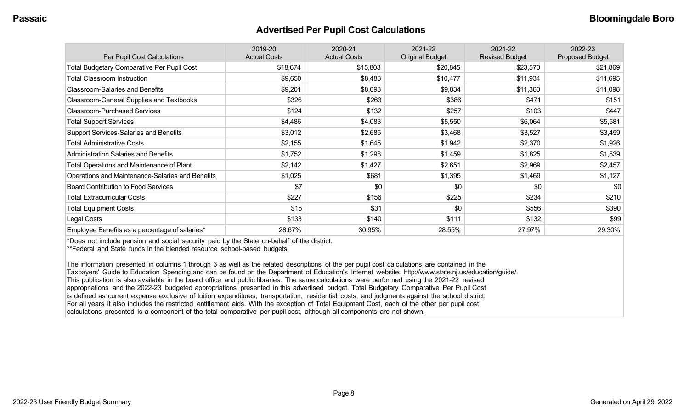#### **Advertised Per Pupil Cost Calculations**

| Per Pupil Cost Calculations                       | 2019-20<br><b>Actual Costs</b> | 2020-21<br><b>Actual Costs</b> | 2021-22<br><b>Original Budget</b> | 2021-22<br><b>Revised Budget</b> | 2022-23<br><b>Proposed Budget</b> |
|---------------------------------------------------|--------------------------------|--------------------------------|-----------------------------------|----------------------------------|-----------------------------------|
| <b>Total Budgetary Comparative Per Pupil Cost</b> | \$18,674                       | \$15,803                       | \$20,845                          | \$23,570                         | \$21,869                          |
| <b>Total Classroom Instruction</b>                | \$9,650                        | \$8,488                        | \$10,477                          | \$11,934                         | \$11,695                          |
| <b>Classroom-Salaries and Benefits</b>            | \$9,201                        | \$8,093                        | \$9,834                           | \$11,360                         | \$11,098                          |
| Classroom-General Supplies and Textbooks          | \$326                          | \$263                          | \$386                             | \$471                            | \$151                             |
| <b>Classroom-Purchased Services</b>               | \$124                          | \$132                          | \$257                             | \$103                            | \$447                             |
| <b>Total Support Services</b>                     | \$4,486                        | \$4,083                        | \$5,550                           | \$6,064                          | \$5,581                           |
| Support Services-Salaries and Benefits            | \$3,012                        | \$2,685                        | \$3,468                           | \$3,527                          | \$3,459                           |
| <b>Total Administrative Costs</b>                 | \$2,155                        | \$1,645                        | \$1,942                           | \$2,370                          | \$1,926                           |
| <b>Administration Salaries and Benefits</b>       | \$1,752                        | \$1,298                        | \$1,459                           | \$1,825                          | \$1,539                           |
| <b>Total Operations and Maintenance of Plant</b>  | \$2,142                        | \$1,427                        | \$2,651                           | \$2,969                          | \$2,457                           |
| Operations and Maintenance-Salaries and Benefits  | \$1,025                        | \$681                          | \$1,395                           | \$1,469                          | \$1,127                           |
| <b>Board Contribution to Food Services</b>        | \$7                            | \$0                            | \$0                               | \$0                              | \$0                               |
| <b>Total Extracurricular Costs</b>                | \$227                          | \$156                          | \$225                             | \$234                            | \$210                             |
| <b>Total Equipment Costs</b>                      | \$15                           | \$31                           | \$0                               | \$556                            | \$390                             |
| Legal Costs                                       | \$133                          | \$140                          | \$111                             | \$132                            | \$99                              |
| Employee Benefits as a percentage of salaries*    | 28.67%                         | 30.95%                         | 28.55%                            | 27.97%                           | 29.30%                            |

\*Does not include pension and social security paid by the State on-behalf of the district.

\*\*Federal and State funds in the blended resource school-based budgets.

The information presented in columns 1 through 3 as well as the related descriptions of the per pupil cost calculations are contained in the Taxpayers' Guide to Education Spending and can be found on the Department of Education's Internet website: http://www.state.nj.us/education/guide/. This publication is also available in the board office and public libraries. The same calculations were performed using the 2021-22 revised appropriations and the 2022-23 budgeted appropriations presented in this advertised budget. Total Budgetary Comparative Per Pupil Cost is defined as current expense exclusive of tuition expenditures, transportation, residential costs, and judgments against the school district. For all years it also includes the restricted entitlement aids. With the exception of Total Equipment Cost, each of the other per pupil cost calculations presented is a component of the total comparative per pupil cost, although all components are not shown.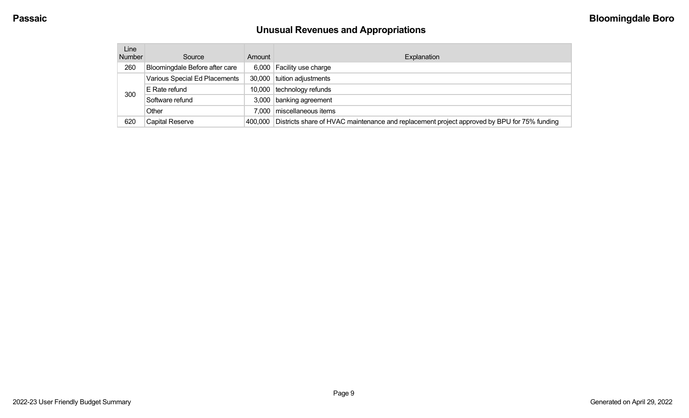# **Unusual Revenues and Appropriations**

| Line<br><b>Number</b> | Source                         | Amount  | Explanation                                                                                 |
|-----------------------|--------------------------------|---------|---------------------------------------------------------------------------------------------|
| 260                   | Bloomingdale Before after care |         | 6,000 Facility use charge                                                                   |
|                       | Various Special Ed Placements  | 30,000  | tuition adjustments                                                                         |
| 300                   | E Rate refund                  | 10,000  | technology refunds                                                                          |
|                       | Software refund                |         | 3,000 banking agreement                                                                     |
|                       | Other                          | 7.000   | miscellaneous items                                                                         |
| 620                   | <b>Capital Reserve</b>         | 400.000 | Districts share of HVAC maintenance and replacement project approved by BPU for 75% funding |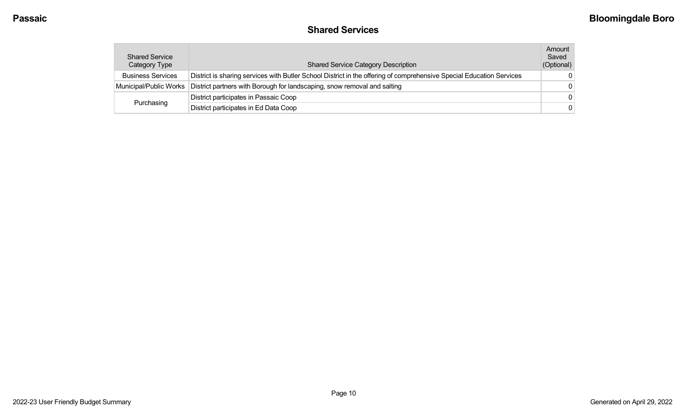### **Shared Services**

| <b>Shared Service</b><br>Category Type | <b>Shared Service Category Description</b>                                                                           | Amount<br>Saved<br>(Optional) |
|----------------------------------------|----------------------------------------------------------------------------------------------------------------------|-------------------------------|
| <b>Business Services</b>               | District is sharing services with Butler School District in the offering of comprehensive Special Education Services | $\Omega$                      |
| Municipal/Public Works                 | District partners with Borough for landscaping, snow removal and salting                                             | - 0                           |
|                                        | District participates in Passaic Coop                                                                                | $\Omega$                      |
| Purchasing                             | District participates in Ed Data Coop                                                                                | $\Omega$                      |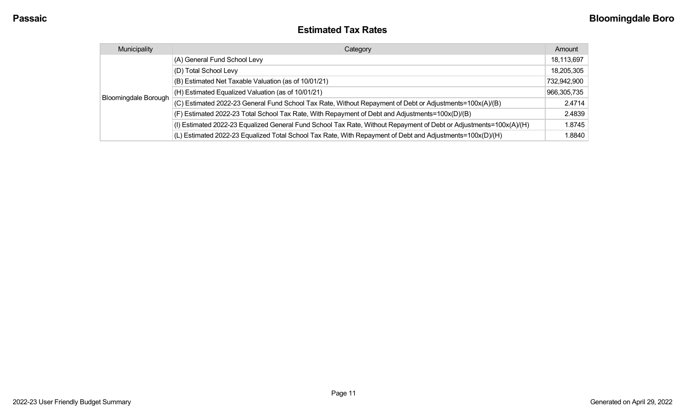| <b>Estimated Tax Rates</b> |
|----------------------------|
|----------------------------|

| Municipality                | Category                                                                                                           | Amount      |
|-----------------------------|--------------------------------------------------------------------------------------------------------------------|-------------|
|                             | (A) General Fund School Levy                                                                                       | 18,113,697  |
|                             | (D) Total School Levy                                                                                              | 18,205,305  |
|                             | (B) Estimated Net Taxable Valuation (as of 10/01/21)                                                               | 732,942,900 |
|                             | (H) Estimated Equalized Valuation (as of 10/01/21)                                                                 | 966,305,735 |
| <b>Bloomingdale Borough</b> | (C) Estimated 2022-23 General Fund School Tax Rate, Without Repayment of Debt or Adjustments=100x(A)/(B)           | 2.4714      |
|                             | (F) Estimated 2022-23 Total School Tax Rate, With Repayment of Debt and Adjustments=100x(D)/(B)                    | 2.4839      |
|                             | (I) Estimated 2022-23 Equalized General Fund School Tax Rate, Without Repayment of Debt or Adjustments=100x(A)/(H) | 1.8745      |
|                             | (L) Estimated 2022-23 Equalized Total School Tax Rate, With Repayment of Debt and Adjustments=100x(D)/(H)          | 1.8840      |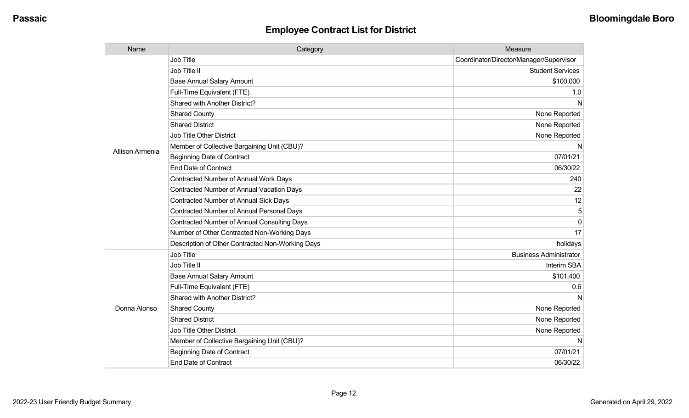| Name            | Category                                           | Measure                                 |
|-----------------|----------------------------------------------------|-----------------------------------------|
|                 | Job Title                                          | Coordinator/Director/Manager/Supervisor |
|                 | Job Title II                                       | <b>Student Services</b>                 |
|                 | <b>Base Annual Salary Amount</b>                   | \$100,000                               |
|                 | Full-Time Equivalent (FTE)                         | 1.0                                     |
|                 | Shared with Another District?                      | N                                       |
|                 | <b>Shared County</b>                               | None Reported                           |
|                 | <b>Shared District</b>                             | None Reported                           |
|                 | <b>Job Title Other District</b>                    | None Reported                           |
| Allison Armenia | Member of Collective Bargaining Unit (CBU)?        | N                                       |
|                 | <b>Beginning Date of Contract</b>                  | 07/01/21                                |
|                 | <b>End Date of Contract</b>                        | 06/30/22                                |
|                 | Contracted Number of Annual Work Days              | 240                                     |
|                 | <b>Contracted Number of Annual Vacation Days</b>   | 22                                      |
|                 | <b>Contracted Number of Annual Sick Days</b>       | 12                                      |
|                 | <b>Contracted Number of Annual Personal Days</b>   | 5                                       |
|                 | <b>Contracted Number of Annual Consulting Days</b> | $\Omega$                                |
|                 | Number of Other Contracted Non-Working Days        | 17                                      |
|                 | Description of Other Contracted Non-Working Days   | holidays                                |
|                 | Job Title                                          | <b>Business Administrator</b>           |
| Donna Alonso    | Job Title II                                       | Interim SBA                             |
|                 | <b>Base Annual Salary Amount</b>                   | \$101,400                               |
|                 | Full-Time Equivalent (FTE)                         | 0.6                                     |
|                 | Shared with Another District?                      | N                                       |
|                 | <b>Shared County</b>                               | None Reported                           |
|                 | <b>Shared District</b>                             | None Reported                           |
|                 | Job Title Other District                           | None Reported                           |
|                 | Member of Collective Bargaining Unit (CBU)?        | N                                       |
|                 | <b>Beginning Date of Contract</b>                  | 07/01/21                                |
|                 | <b>End Date of Contract</b>                        | 06/30/22                                |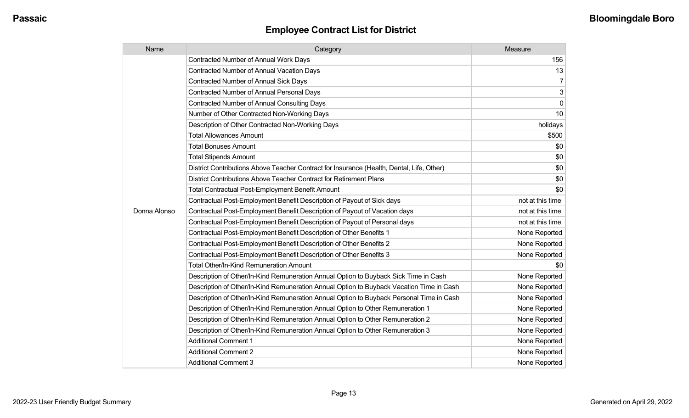| Name         | Category                                                                                  | Measure          |
|--------------|-------------------------------------------------------------------------------------------|------------------|
|              | <b>Contracted Number of Annual Work Days</b>                                              | 156              |
|              | <b>Contracted Number of Annual Vacation Days</b>                                          | 13               |
|              | Contracted Number of Annual Sick Days                                                     | $\overline{7}$   |
|              | Contracted Number of Annual Personal Days                                                 | 3                |
|              | <b>Contracted Number of Annual Consulting Days</b>                                        | 0                |
|              | Number of Other Contracted Non-Working Days                                               | 10               |
|              | Description of Other Contracted Non-Working Days                                          | holidays         |
|              | <b>Total Allowances Amount</b>                                                            | \$500            |
|              | <b>Total Bonuses Amount</b>                                                               | \$0              |
|              | <b>Total Stipends Amount</b>                                                              | \$0              |
|              | District Contributions Above Teacher Contract for Insurance (Health, Dental, Life, Other) | \$0              |
|              | District Contributions Above Teacher Contract for Retirement Plans                        | \$0              |
|              | <b>Total Contractual Post-Employment Benefit Amount</b>                                   | \$0              |
|              | Contractual Post-Employment Benefit Description of Payout of Sick days                    | not at this time |
| Donna Alonso | Contractual Post-Employment Benefit Description of Payout of Vacation days                | not at this time |
|              | Contractual Post-Employment Benefit Description of Payout of Personal days                | not at this time |
|              | Contractual Post-Employment Benefit Description of Other Benefits 1                       | None Reported    |
|              | Contractual Post-Employment Benefit Description of Other Benefits 2                       | None Reported    |
|              | Contractual Post-Employment Benefit Description of Other Benefits 3                       | None Reported    |
|              | Total Other/In-Kind Remuneration Amount                                                   | \$0              |
|              | Description of Other/In-Kind Remuneration Annual Option to Buyback Sick Time in Cash      | None Reported    |
|              | Description of Other/In-Kind Remuneration Annual Option to Buyback Vacation Time in Cash  | None Reported    |
|              | Description of Other/In-Kind Remuneration Annual Option to Buyback Personal Time in Cash  | None Reported    |
|              | Description of Other/In-Kind Remuneration Annual Option to Other Remuneration 1           | None Reported    |
|              | Description of Other/In-Kind Remuneration Annual Option to Other Remuneration 2           | None Reported    |
|              | Description of Other/In-Kind Remuneration Annual Option to Other Remuneration 3           | None Reported    |
|              | <b>Additional Comment 1</b>                                                               | None Reported    |
|              | <b>Additional Comment 2</b>                                                               | None Reported    |
|              | <b>Additional Comment 3</b>                                                               | None Reported    |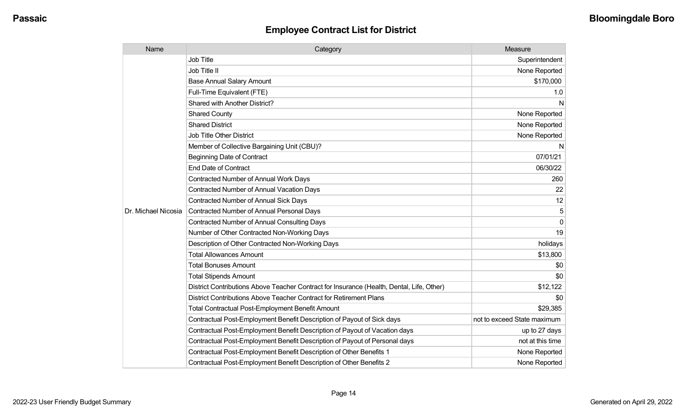| Name                | Category                                                                                  | Measure                     |
|---------------------|-------------------------------------------------------------------------------------------|-----------------------------|
|                     | <b>Job Title</b>                                                                          | Superintendent              |
|                     | Job Title II                                                                              | None Reported               |
|                     | <b>Base Annual Salary Amount</b>                                                          | \$170,000                   |
|                     | Full-Time Equivalent (FTE)                                                                | 1.0                         |
|                     | <b>Shared with Another District?</b>                                                      | N                           |
|                     | <b>Shared County</b>                                                                      | None Reported               |
|                     | <b>Shared District</b>                                                                    | None Reported               |
|                     | <b>Job Title Other District</b>                                                           | None Reported               |
|                     | Member of Collective Bargaining Unit (CBU)?                                               | N                           |
|                     | <b>Beginning Date of Contract</b>                                                         | 07/01/21                    |
|                     | <b>End Date of Contract</b>                                                               | 06/30/22                    |
|                     | <b>Contracted Number of Annual Work Days</b>                                              | 260                         |
|                     | <b>Contracted Number of Annual Vacation Days</b>                                          | 22                          |
|                     | <b>Contracted Number of Annual Sick Days</b>                                              | 12                          |
| Dr. Michael Nicosia | <b>Contracted Number of Annual Personal Days</b>                                          | 5                           |
|                     | <b>Contracted Number of Annual Consulting Days</b>                                        | $\Omega$                    |
|                     | Number of Other Contracted Non-Working Days                                               | 19                          |
|                     | Description of Other Contracted Non-Working Days                                          | holidays                    |
|                     | <b>Total Allowances Amount</b>                                                            | \$13,800                    |
|                     | <b>Total Bonuses Amount</b>                                                               | \$0                         |
|                     | <b>Total Stipends Amount</b>                                                              | \$0                         |
|                     | District Contributions Above Teacher Contract for Insurance (Health, Dental, Life, Other) | \$12,122                    |
|                     | District Contributions Above Teacher Contract for Retirement Plans                        | \$0                         |
|                     | <b>Total Contractual Post-Employment Benefit Amount</b>                                   | \$29,385                    |
|                     | Contractual Post-Employment Benefit Description of Payout of Sick days                    | not to exceed State maximum |
|                     | Contractual Post-Employment Benefit Description of Payout of Vacation days                | up to 27 days               |
|                     | Contractual Post-Employment Benefit Description of Payout of Personal days                | not at this time            |
|                     | Contractual Post-Employment Benefit Description of Other Benefits 1                       | None Reported               |
|                     | Contractual Post-Employment Benefit Description of Other Benefits 2                       | None Reported               |